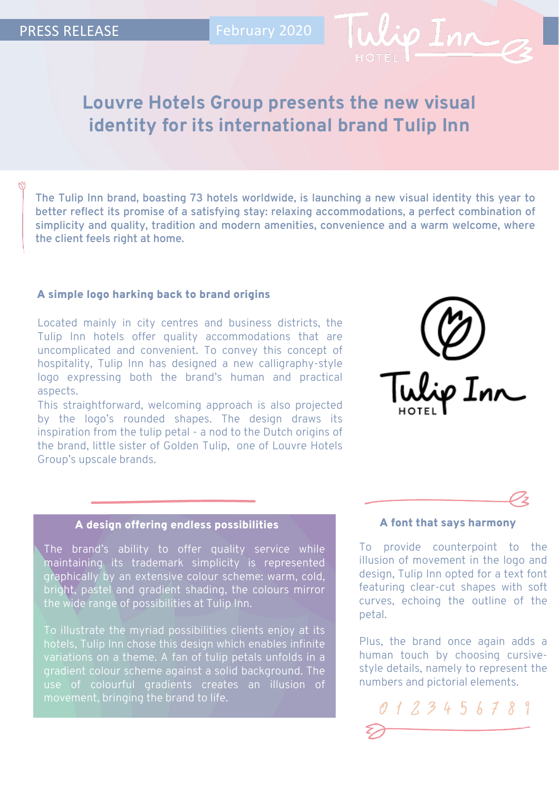

# **Louvre Hotels Group presents the new visual identity for its international brand Tulip Inn**

**The Tulip Inn brand, boasting 73 hotels worldwide, is launching a new visual identity this year to better reflect its promise of a satisfying stay: relaxing accommodations, a perfect combination of simplicity and quality, tradition and modern amenities, convenience and a warm welcome, where the client feels right at home.**

### A simple logo harking back to brand origins

Located mainly in city centres and business districts, the Tulip Inn hotels offer quality accommodations that are uncomplicated and convenient. To convey this concept of hospitality, Tulip Inn has designed a new calligraphy-style logo expressing both the brand's human and practical aspects.

This straightforward, welcoming approach is also projected by the logo's rounded shapes. The design draws its inspiration from the tulip petal - a nod to the Dutch origins of the brand, little sister of Golden Tulip, one of Louvre Hotels Group's upscale brands.



# A design offering endless possibilities A font that says harmony

The brand's ability to offer quality service while maintaining its trademark simplicity is represented graphically by an extensive colour scheme: warm, cold, bright, pastel and gradient shading, the colours mirror the wide range of possibilities at Tulip Inn.

To illustrate the myriad possibilities clients enjoy at its hotels, Tulip Inn chose this design which enables infinite variations on a theme. A fan of tulip petals unfolds in a gradient colour scheme against a solid background. The use of colourful gradients creates an illusion of movement, bringing the brand to life.

To provide counterpoint to the illusion of movement in the logo and design, Tulip Inn opted for a text font featuring clear-cut shapes with soft curves, echoing the outline of the petal.

Plus, the brand once again adds a human touch by choosing cursivestyle details, namely to represent the numbers and pictorial elements.